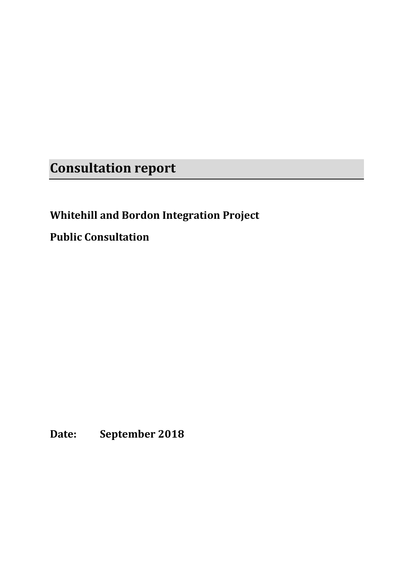**Consultation report**

# **Whitehill and Bordon Integration Project**

**Public Consultation**

**Date: September 2018**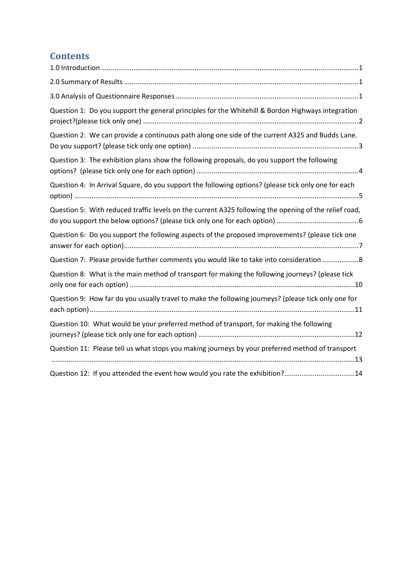# **Contents**

| Question 1: Do you support the general principles for the Whitehill & Bordon Highways integration     |
|-------------------------------------------------------------------------------------------------------|
| Question 2: We can provide a continuous path along one side of the current A325 and Budds Lane.       |
| Question 3: The exhibition plans show the following proposals, do you support the following           |
| Question 4: In Arrival Square, do you support the following options? (please tick only one for each   |
| Question 5: With reduced traffic levels on the current A325 following the opening of the relief road, |
| Question 6: Do you support the following aspects of the proposed improvements? (please tick one       |
| Question 7: Please provide further comments you would like to take into consideration 8               |
| Question 8: What is the main method of transport for making the following journeys? (please tick      |
| Question 9: How far do you usually travel to make the following journeys? (please tick only one for   |
| Question 10: What would be your preferred method of transport, for making the following               |
| Question 11: Please tell us what stops you making journeys by your preferred method of transport      |
| Question 12: If you attended the event how would you rate the exhibition?14                           |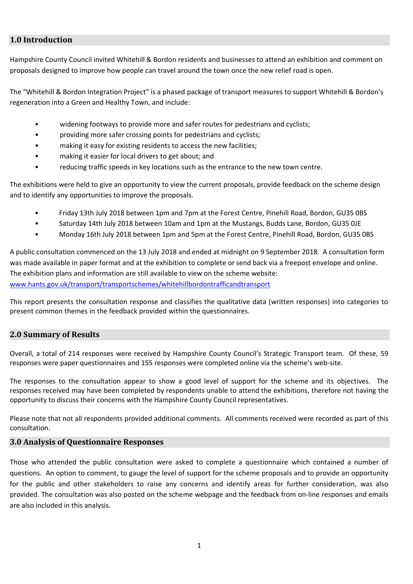## <span id="page-2-0"></span>**1.0 Introduction**

Hampshire County Council invited Whitehill & Bordon residents and businesses to attend an exhibition and comment on proposals designed to improve how people can travel around the town once the new relief road is open.

The "Whitehill & Bordon Integration Project" is a phased package of transport measures to support Whitehill & Bordon's regeneration into a Green and Healthy Town, and include:

- widening footways to provide more and safer routes for pedestrians and cyclists;
- providing more safer crossing points for pedestrians and cyclists;
- making it easy for existing residents to access the new facilities;
- making it easier for local drivers to get about; and
- reducing traffic speeds in key locations such as the entrance to the new town centre.

The exhibitions were held to give an opportunity to view the current proposals, provide feedback on the scheme design and to identify any opportunities to improve the proposals.

- Friday 13th July 2018 between 1pm and 7pm at the Forest Centre, Pinehill Road, Bordon, GU35 0BS
- Saturday 14th July 2018 between 10am and 1pm at the Mustangs, Budds Lane, Bordon, GU35 0JE
- Monday 16th July 2018 between 1pm and 5pm at the Forest Centre, Pinehill Road, Bordon, GU35 0BS

A public consultation commenced on the 13 July 2018 and ended at midnight on 9 September 2018. A consultation form was made available in paper format and at the exhibition to complete or send back via a freepost envelope and online. The exhibition plans and information are still available to view on the scheme website: [www.hants.gov.uk/transport/transportschemes/whitehillbordontrafficandtransport](http://www.hants.gov.uk/transport/transportschemes/whitehillbordontrafficandtransport)

This report presents the consultation response and classifies the qualitative data (written responses) into categories to present common themes in the feedback provided within the questionnaires.

## <span id="page-2-1"></span>**2.0 Summary of Results**

Overall, a total of 214 responses were received by Hampshire County Council's Strategic Transport team. Of these, 59 responses were paper questionnaires and 155 responses were completed online via the scheme's web-site.

The responses to the consultation appear to show a good level of support for the scheme and its objectives. The responses received may have been completed by respondents unable to attend the exhibitions, therefore not having the opportunity to discuss their concerns with the Hampshire County Council representatives.

Please note that not all respondents provided additional comments. All comments received were recorded as part of this consultation.

## <span id="page-2-2"></span>**3.0 Analysis of Questionnaire Responses**

Those who attended the public consultation were asked to complete a questionnaire which contained a number of questions. An option to comment, to gauge the level of support for the scheme proposals and to provide an opportunity for the public and other stakeholders to raise any concerns and identify areas for further consideration, was also provided. The consultation was also posted on the scheme webpage and the feedback from on-line responses and emails are also included in this analysis.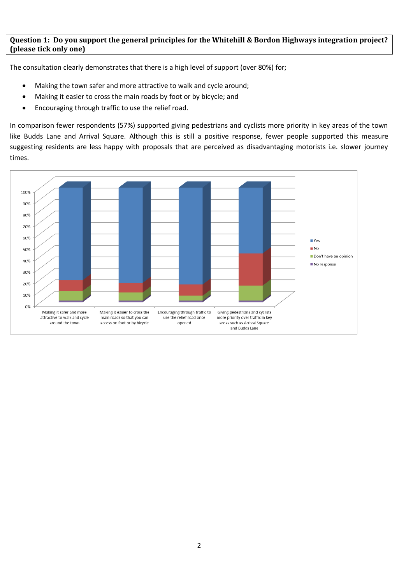## <span id="page-3-0"></span>**Question 1: Do you support the general principles for the Whitehill & Bordon Highways integration project? (please tick only one)**

The consultation clearly demonstrates that there is a high level of support (over 80%) for;

- Making the town safer and more attractive to walk and cycle around;
- Making it easier to cross the main roads by foot or by bicycle; and
- Encouraging through traffic to use the relief road.

In comparison fewer respondents (57%) supported giving pedestrians and cyclists more priority in key areas of the town like Budds Lane and Arrival Square. Although this is still a positive response, fewer people supported this measure suggesting residents are less happy with proposals that are perceived as disadvantaging motorists i.e. slower journey times.

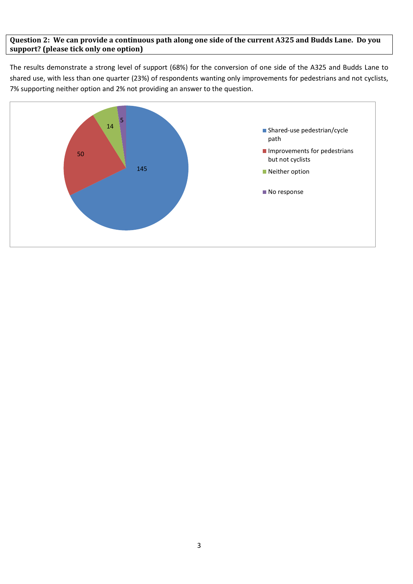## <span id="page-4-0"></span>**Question 2: We can provide a continuous path along one side of the current A325 and Budds Lane. Do you support? (please tick only one option)**

The results demonstrate a strong level of support (68%) for the conversion of one side of the A325 and Budds Lane to shared use, with less than one quarter (23%) of respondents wanting only improvements for pedestrians and not cyclists, 7% supporting neither option and 2% not providing an answer to the question.

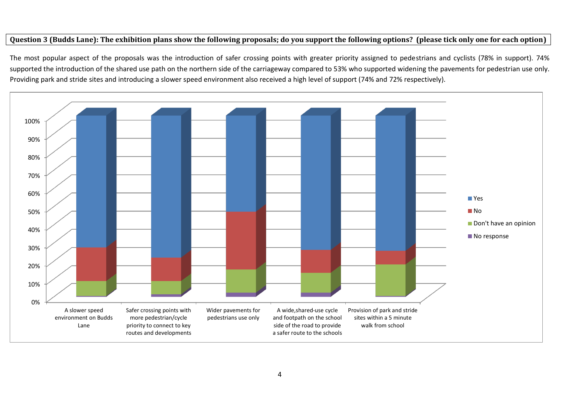## **Question 3 (Budds Lane): The exhibition plans show the following proposals; do you support the following options? (please tick only one for each option)**

The most popular aspect of the proposals was the introduction of safer crossing points with greater priority assigned to pedestrians and cyclists (78% in support). 74% supported the introduction of the shared use path on the northern side of the carriageway compared to 53% who supported widening the pavements for pedestrian use only. Providing park and stride sites and introducing a slower speed environment also received a high level of support (74% and 72% respectively).

<span id="page-5-0"></span>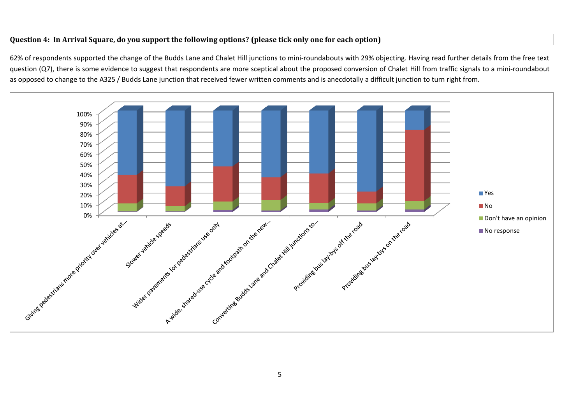## **Question 4: In Arrival Square, do you support the following options? (please tick only one for each option)**

62% of respondents supported the change of the Budds Lane and Chalet Hill junctions to mini-roundabouts with 29% objecting. Having read further details from the free text question (Q7), there is some evidence to suggest that respondents are more sceptical about the proposed conversion of Chalet Hill from traffic signals to a mini-roundabout as opposed to change to the A325 / Budds Lane junction that received fewer written comments and is anecdotally a difficult junction to turn right from.

<span id="page-6-0"></span>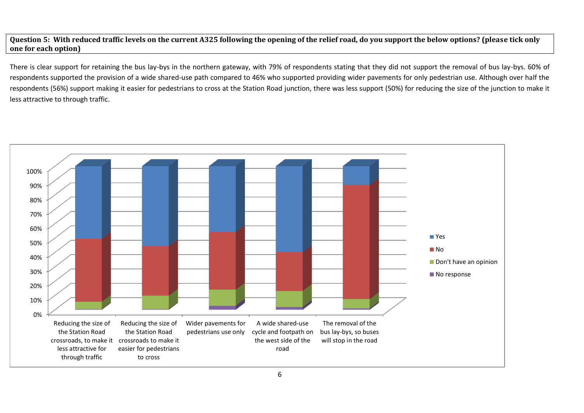**Question 5: With reduced traffic levels on the current A325 following the opening of the relief road, do you support the below options? (please tick only one for each option)**

There is clear support for retaining the bus lay-bys in the northern gateway, with 79% of respondents stating that they did not support the removal of bus lay-bys. 60% of respondents supported the provision of a wide shared-use path compared to 46% who supported providing wider pavements for only pedestrian use. Although over half the respondents (56%) support making it easier for pedestrians to cross at the Station Road junction, there was less support (50%) for reducing the size of the junction to make it less attractive to through traffic.

<span id="page-7-0"></span>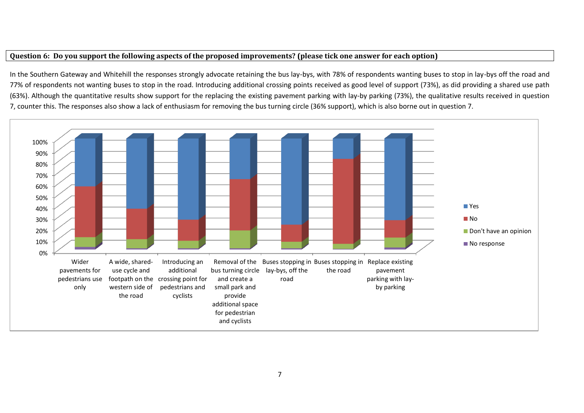## **Question 6: Do you support the following aspects of the proposed improvements? (please tick one answer for each option)**

In the Southern Gateway and Whitehill the responses strongly advocate retaining the bus lay-bys, with 78% of respondents wanting buses to stop in lay-bys off the road and 77% of respondents not wanting buses to stop in the road. Introducing additional crossing points received as good level of support (73%), as did providing a shared use path (63%). Although the quantitative results show support for the replacing the existing pavement parking with lay-by parking (73%), the qualitative results received in question 7, counter this. The responses also show a lack of enthusiasm for removing the bus turning circle (36% support), which is also borne out in question 7.

<span id="page-8-0"></span>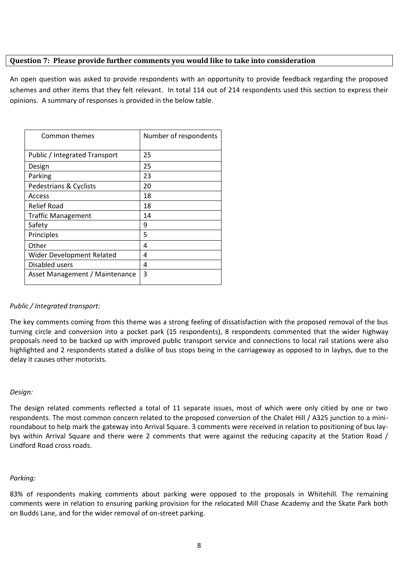## <span id="page-9-0"></span>**Question 7: Please provide further comments you would like to take into consideration**

An open question was asked to provide respondents with an opportunity to provide feedback regarding the proposed schemes and other items that they felt relevant. In total 114 out of 214 respondents used this section to express their opinions. A summary of responses is provided in the below table.

| Common themes                  | Number of respondents |
|--------------------------------|-----------------------|
| Public / Integrated Transport  | 25                    |
| Design                         | 25                    |
| Parking                        | 23                    |
| Pedestrians & Cyclists         | 20                    |
| Access                         | 18                    |
| <b>Relief Road</b>             | 18                    |
| <b>Traffic Management</b>      | 14                    |
| Safety                         | 9                     |
| Principles                     | 5                     |
| Other                          | 4                     |
| Wider Development Related      | 4                     |
| Disabled users                 | 4                     |
| Asset Management / Maintenance | 3                     |

## *Public / Integrated transport:*

The key comments coming from this theme was a strong feeling of dissatisfaction with the proposed removal of the bus turning circle and conversion into a pocket park (15 respondents), 8 respondents commented that the wider highway proposals need to be backed up with improved public transport service and connections to local rail stations were also highlighted and 2 respondents stated a dislike of bus stops being in the carriageway as opposed to in laybys, due to the delay it causes other motorists.

## *Design:*

The design related comments reflected a total of 11 separate issues, most of which were only citied by one or two respondents. The most common concern related to the proposed conversion of the Chalet Hill / A325 junction to a miniroundabout to help mark the gateway into Arrival Square. 3 comments were received in relation to positioning of bus laybys within Arrival Square and there were 2 comments that were against the reducing capacity at the Station Road / Lindford Road cross roads.

## *Parking:*

83% of respondents making comments about parking were opposed to the proposals in Whitehill. The remaining comments were in relation to ensuring parking provision for the relocated Mill Chase Academy and the Skate Park both on Budds Lane, and for the wider removal of on-street parking.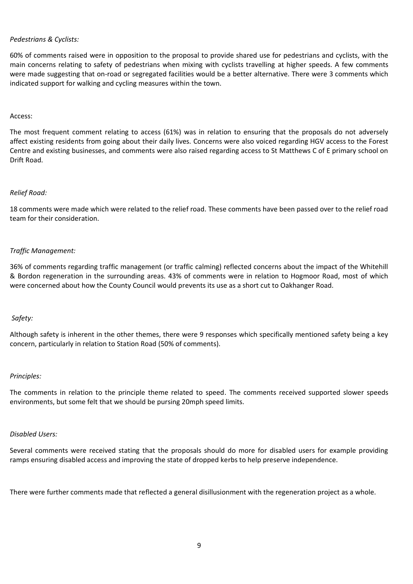#### *Pedestrians & Cyclists:*

60% of comments raised were in opposition to the proposal to provide shared use for pedestrians and cyclists, with the main concerns relating to safety of pedestrians when mixing with cyclists travelling at higher speeds. A few comments were made suggesting that on-road or segregated facilities would be a better alternative. There were 3 comments which indicated support for walking and cycling measures within the town.

#### Access:

The most frequent comment relating to access (61%) was in relation to ensuring that the proposals do not adversely affect existing residents from going about their daily lives. Concerns were also voiced regarding HGV access to the Forest Centre and existing businesses, and comments were also raised regarding access to St Matthews C of E primary school on Drift Road.

#### *Relief Road:*

18 comments were made which were related to the relief road. These comments have been passed over to the relief road team for their consideration.

#### *Traffic Management:*

36% of comments regarding traffic management (or traffic calming) reflected concerns about the impact of the Whitehill & Bordon regeneration in the surrounding areas. 43% of comments were in relation to Hogmoor Road, most of which were concerned about how the County Council would prevents its use as a short cut to Oakhanger Road.

## *Safety:*

Although safety is inherent in the other themes, there were 9 responses which specifically mentioned safety being a key concern, particularly in relation to Station Road (50% of comments).

#### *Principles:*

The comments in relation to the principle theme related to speed. The comments received supported slower speeds environments, but some felt that we should be pursing 20mph speed limits.

#### *Disabled Users:*

Several comments were received stating that the proposals should do more for disabled users for example providing ramps ensuring disabled access and improving the state of dropped kerbs to help preserve independence.

There were further comments made that reflected a general disillusionment with the regeneration project as a whole.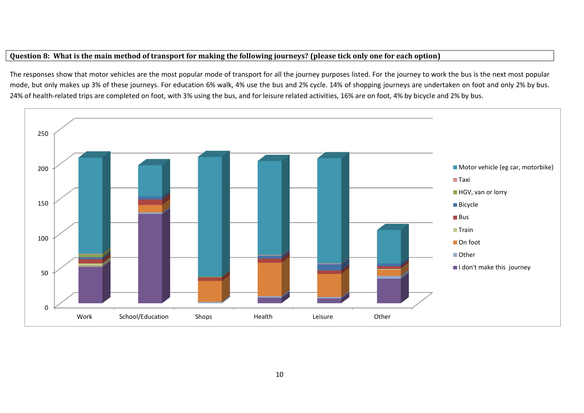## **Question 8: What is the main method of transport for making the following journeys? (please tick only one for each option)**

The responses show that motor vehicles are the most popular mode of transport for all the journey purposes listed. For the journey to work the bus is the next most popular mode, but only makes up 3% of these journeys. For education 6% walk, 4% use the bus and 2% cycle. 14% of shopping journeys are undertaken on foot and only 2% by bus. 24% of health-related trips are completed on foot, with 3% using the bus, and for leisure related activities, 16% are on foot, 4% by bicycle and 2% by bus.

<span id="page-11-0"></span>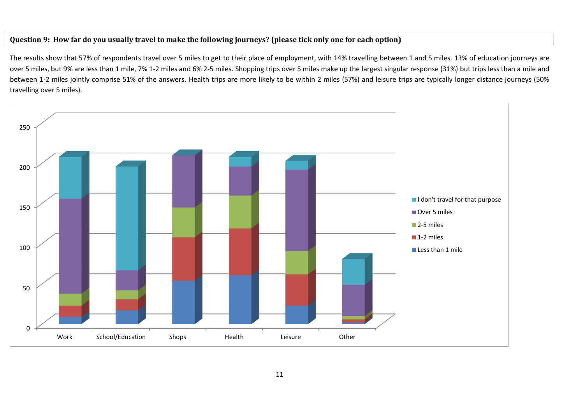## **Question 9: How far do you usually travel to make the following journeys? (please tick only one for each option)**

The results show that 57% of respondents travel over 5 miles to get to their place of employment, with 14% travelling between 1 and 5 miles. 13% of education journeys are over 5 miles, but 9% are less than 1 mile, 7% 1-2 miles and 6% 2-5 miles. Shopping trips over 5 miles make up the largest singular response (31%) but trips less than a mile and between 1-2 miles jointly comprise 51% of the answers. Health trips are more likely to be within 2 miles (57%) and leisure trips are typically longer distance journeys (50% travelling over 5 miles).

<span id="page-12-0"></span>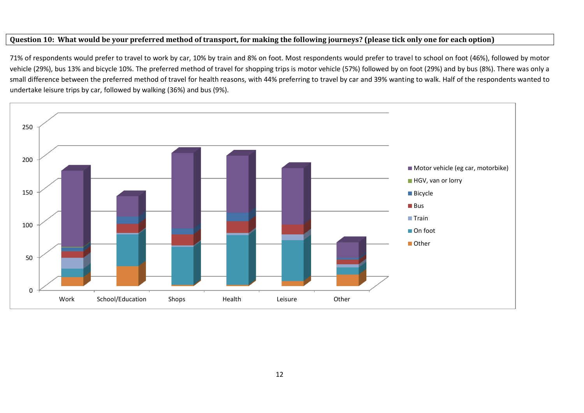## **Question 10: What would be your preferred method of transport, for making the following journeys? (please tick only one for each option)**

71% of respondents would prefer to travel to work by car, 10% by train and 8% on foot. Most respondents would prefer to travel to school on foot (46%), followed by motor vehicle (29%), bus 13% and bicycle 10%. The preferred method of travel for shopping trips is motor vehicle (57%) followed by on foot (29%) and by bus (8%). There was only a small difference between the preferred method of travel for health reasons, with 44% preferring to travel by car and 39% wanting to walk. Half of the respondents wanted to undertake leisure trips by car, followed by walking (36%) and bus (9%).

<span id="page-13-0"></span>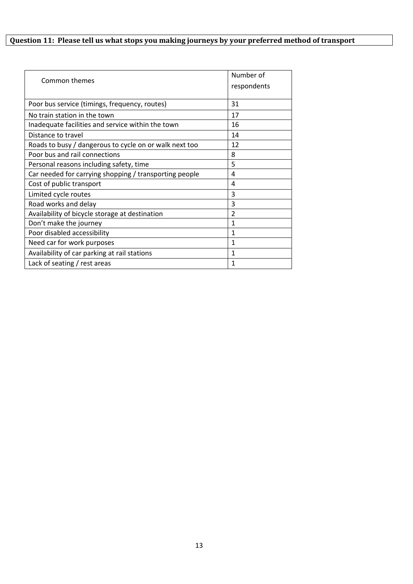# <span id="page-14-0"></span>**Question 11: Please tell us what stops you making journeys by your preferred method of transport**

| Common themes                                          | Number of      |
|--------------------------------------------------------|----------------|
|                                                        | respondents    |
|                                                        |                |
| Poor bus service (timings, frequency, routes)          | 31             |
| No train station in the town                           | 17             |
| Inadequate facilities and service within the town      | 16             |
| Distance to travel                                     | 14             |
| Roads to busy / dangerous to cycle on or walk next too | 12             |
| Poor bus and rail connections                          | 8              |
| Personal reasons including safety, time                | 5              |
| Car needed for carrying shopping / transporting people | 4              |
| Cost of public transport                               | 4              |
| Limited cycle routes                                   | 3              |
| Road works and delay                                   | 3              |
| Availability of bicycle storage at destination         | $\overline{2}$ |
| Don't make the journey                                 | 1              |
| Poor disabled accessibility                            | 1              |
| Need car for work purposes                             | 1              |
| Availability of car parking at rail stations           | 1              |
| Lack of seating $/$ rest areas                         | 1              |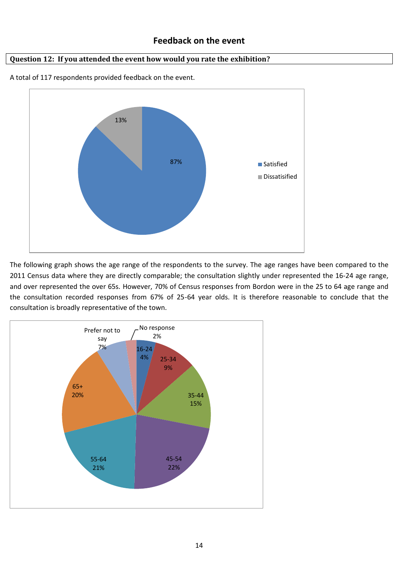## **Feedback on the event**

## <span id="page-15-0"></span>**Question 12: If you attended the event how would you rate the exhibition?**



A total of 117 respondents provided feedback on the event.

The following graph shows the age range of the respondents to the survey. The age ranges have been compared to the 2011 Census data where they are directly comparable; the consultation slightly under represented the 16-24 age range, and over represented the over 65s. However, 70% of Census responses from Bordon were in the 25 to 64 age range and the consultation recorded responses from 67% of 25-64 year olds. It is therefore reasonable to conclude that the consultation is broadly representative of the town.